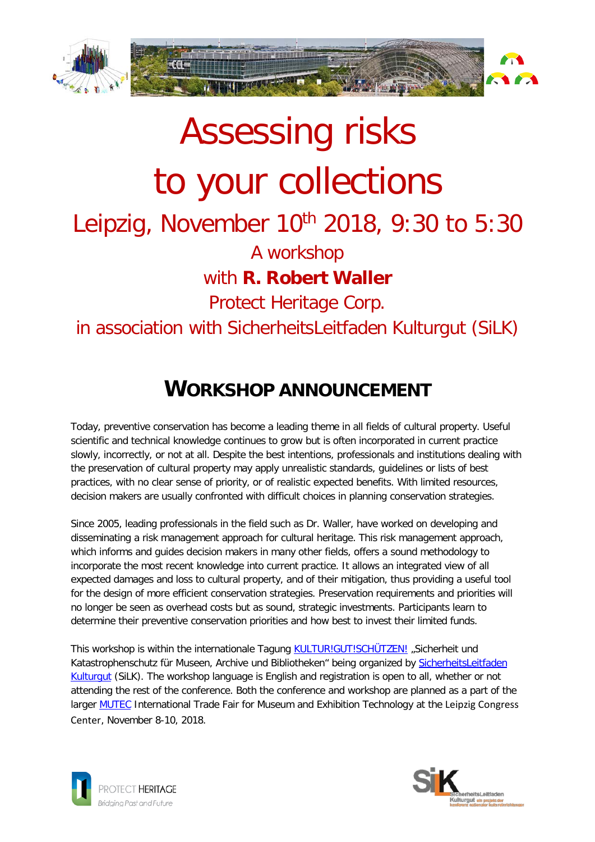



# **WORKSHOP ANNOUNCEMENT**

Today, preventive conservation has become a leading theme in all fields of cultural property. Useful scientific and technical knowledge continues to grow but is often incorporated in current practice slowly, incorrectly, or not at all. Despite the best intentions, professionals and institutions dealing with the preservation of cultural property may apply unrealistic standards, guidelines or lists of best practices, with no clear sense of priority, or of realistic expected benefits. With limited resources, decision makers are usually confronted with difficult choices in planning conservation strategies.

Since 2005, leading professionals in the field such as Dr. Waller, have worked on developing and disseminating a risk management approach for cultural heritage. This risk management approach, which informs and guides decision makers in many other fields, offers a sound methodology to incorporate the most recent knowledge into current practice. It allows an integrated view of all expected damages and loss to cultural property, and of their mitigation, thus providing a useful tool for the design of more efficient conservation strategies. Preservation requirements and priorities will no longer be seen as overhead costs but as sound, strategic investments. Participants learn to determine their preventive conservation priorities and how best to invest their limited funds.

This workshop is within the internationale Tagung [KULTUR!GUT!SCHÜTZEN!](http://www.konferenz-kultur.de/SLF/index1.php) "Sicherheit und Katastrophenschutz für Museen, Archive und Bibliotheken" being organized by [SicherheitsLeitfaden](http://www.konferenz-kultur.de/SLF/EN/index1.php?lang=en)  [Kulturgut](http://www.konferenz-kultur.de/SLF/EN/index1.php?lang=en) (SiLK). The workshop language is English and registration is open to all, whether or not attending the rest of the conference. Both the conference and workshop are planned as a part of the larger **MUTEC** International Trade Fair for Museum and Exhibition Technology at the Leipzig Congress Center, November 8-10, 2018.



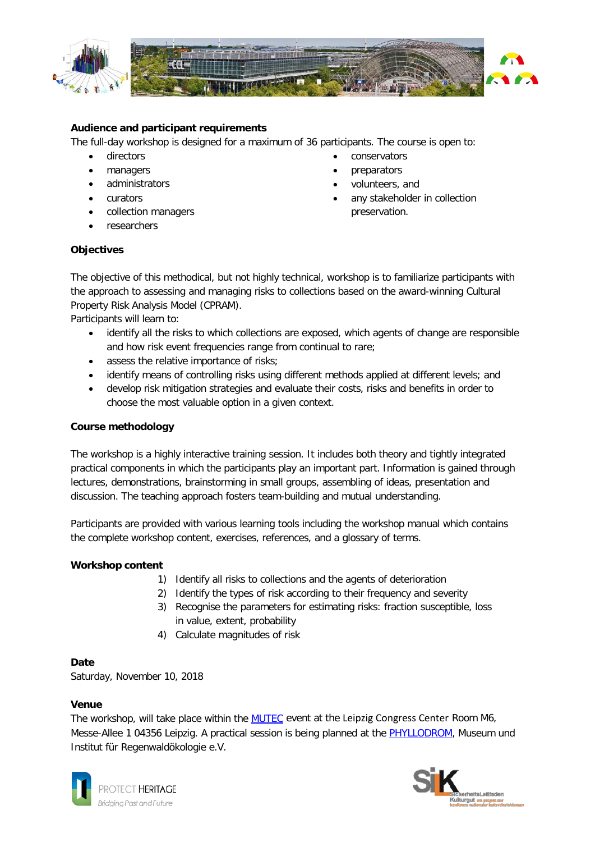

#### **Audience and participant requirements**

The full-day workshop is designed for a maximum of 36 participants. The course is open to:

- directors
- managers
- administrators
- curators
- collection managers
- researchers

## **Objectives**

- conservators
- preparators
- volunteers, and
- any stakeholder in collection preservation.

The objective of this methodical, but not highly technical, workshop is to familiarize participants with the approach to assessing and managing risks to collections based on the award-winning Cultural Property Risk Analysis Model (CPRAM).

Participants will learn to:

- identify all the risks to which collections are exposed, which agents of change are responsible and how risk event frequencies range from continual to rare;
- assess the relative importance of risks;
- identify means of controlling risks using different methods applied at different levels; and
- develop risk mitigation strategies and evaluate their costs, risks and benefits in order to choose the most valuable option in a given context.

#### **Course methodology**

The workshop is a highly interactive training session. It includes both theory and tightly integrated practical components in which the participants play an important part. Information is gained through lectures, demonstrations, brainstorming in small groups, assembling of ideas, presentation and discussion. The teaching approach fosters team-building and mutual understanding.

Participants are provided with various learning tools including the workshop manual which contains the complete workshop content, exercises, references, and a glossary of terms.

#### **Workshop content**

- 1) Identify all risks to collections and the agents of deterioration
- 2) Identify the types of risk according to their frequency and severity
- 3) Recognise the parameters for estimating risks: fraction susceptible, loss in value, extent, probability
- 4) Calculate magnitudes of risk

#### **Date**

Saturday, November 10, 2018

#### **Venue**

The workshop, will take place within the [MUTEC](http://www.mutec.de/de/fachprogramm/seminare-workshops/) event at the Leipzig Congress Center Room M6, Messe-Allee 1 04356 Leipzig. A practical session is being planned at the [PHYLLODROM,](http://www.phyllodrom.de/phyllodrom/index2.html) Museum und Institut für Regenwaldökologie e.V.